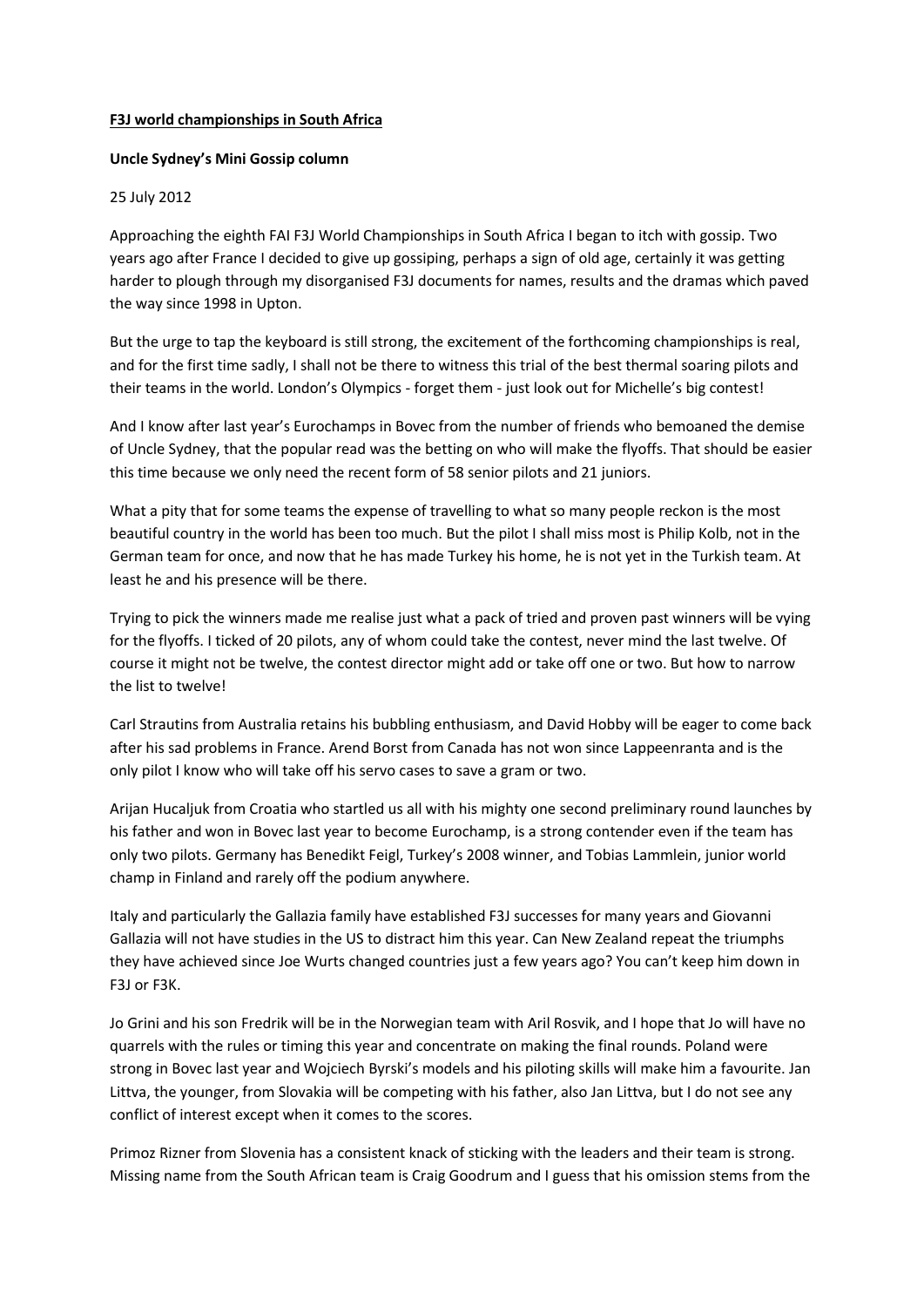## **F3J world championships in South Africa**

## **Uncle Sydney's Mini Gossip column**

## 25 July 2012

Approaching the eighth FAI F3J World Championships in South Africa I began to itch with gossip. Two years ago after France I decided to give up gossiping, perhaps a sign of old age, certainly it was getting harder to plough through my disorganised F3J documents for names, results and the dramas which paved the way since 1998 in Upton.

But the urge to tap the keyboard is still strong, the excitement of the forthcoming championships is real, and for the first time sadly, I shall not be there to witness this trial of the best thermal soaring pilots and their teams in the world. London's Olympics - forget them - just look out for Michelle's big contest!

And I know after last year's Eurochamps in Bovec from the number of friends who bemoaned the demise of Uncle Sydney, that the popular read was the betting on who will make the flyoffs. That should be easier this time because we only need the recent form of 58 senior pilots and 21 juniors.

What a pity that for some teams the expense of travelling to what so many people reckon is the most beautiful country in the world has been too much. But the pilot I shall miss most is Philip Kolb, not in the German team for once, and now that he has made Turkey his home, he is not yet in the Turkish team. At least he and his presence will be there.

Trying to pick the winners made me realise just what a pack of tried and proven past winners will be vying for the flyoffs. I ticked of 20 pilots, any of whom could take the contest, never mind the last twelve. Of course it might not be twelve, the contest director might add or take off one or two. But how to narrow the list to twelve!

Carl Strautins from Australia retains his bubbling enthusiasm, and David Hobby will be eager to come back after his sad problems in France. Arend Borst from Canada has not won since Lappeenranta and is the only pilot I know who will take off his servo cases to save a gram or two.

Arijan Hucaljuk from Croatia who startled us all with his mighty one second preliminary round launches by his father and won in Bovec last year to become Eurochamp, is a strong contender even if the team has only two pilots. Germany has Benedikt Feigl, Turkey's 2008 winner, and Tobias Lammlein, junior world champ in Finland and rarely off the podium anywhere.

Italy and particularly the Gallazia family have established F3J successes for many years and Giovanni Gallazia will not have studies in the US to distract him this year. Can New Zealand repeat the triumphs they have achieved since Joe Wurts changed countries just a few years ago? You can't keep him down in F3J or F3K.

Jo Grini and his son Fredrik will be in the Norwegian team with Aril Rosvik, and I hope that Jo will have no quarrels with the rules or timing this year and concentrate on making the final rounds. Poland were strong in Bovec last year and Wojciech Byrski's models and his piloting skills will make him a favourite. Jan Littva, the younger, from Slovakia will be competing with his father, also Jan Littva, but I do not see any conflict of interest except when it comes to the scores.

Primoz Rizner from Slovenia has a consistent knack of sticking with the leaders and their team is strong. Missing name from the South African team is Craig Goodrum and I guess that his omission stems from the